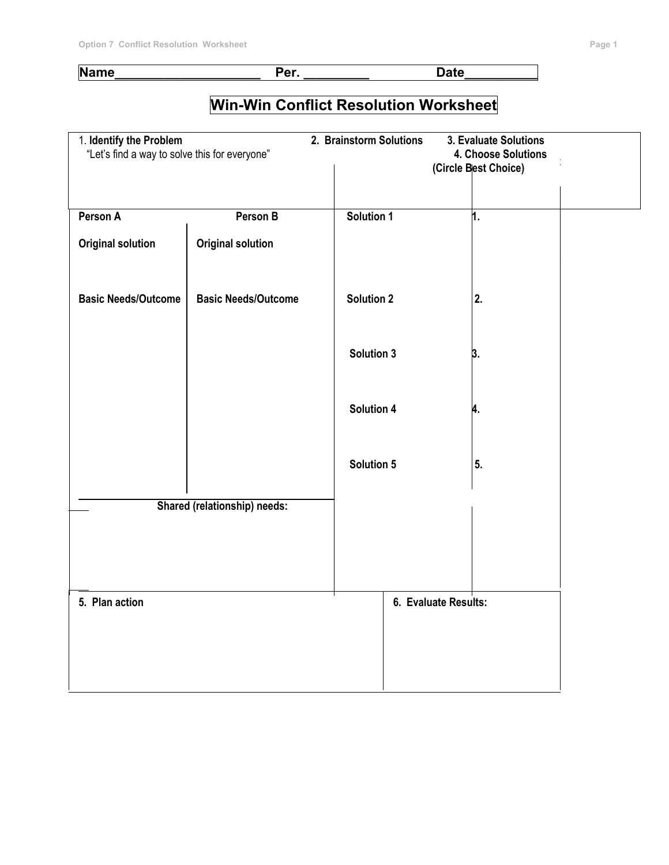#### **Name\_\_\_\_\_\_\_\_\_\_\_\_\_\_\_\_\_\_\_\_ Per. \_\_\_\_\_\_\_\_\_ Date\_\_\_\_\_\_\_\_\_\_**

# **Win-Win Conflict Resolution Worksheet**

| 1. Identify the Problem<br>"Let's find a way to solve this for everyone" |                            | 2. Brainstorm Solutions | 3. Evaluate Solutions<br>4. Choose Solutions<br>(Circle Best Choice) |  |
|--------------------------------------------------------------------------|----------------------------|-------------------------|----------------------------------------------------------------------|--|
| Person A                                                                 | Person B                   | Solution 1              | 1.                                                                   |  |
| <b>Original solution</b>                                                 | <b>Original solution</b>   |                         |                                                                      |  |
| <b>Basic Needs/Outcome</b>                                               | <b>Basic Needs/Outcome</b> | <b>Solution 2</b>       | 2.                                                                   |  |
|                                                                          |                            | <b>Solution 3</b>       | 3.                                                                   |  |
|                                                                          |                            | <b>Solution 4</b>       | A.                                                                   |  |
|                                                                          |                            | Solution 5              | 5.                                                                   |  |
| <b>Shared (relationship) needs:</b>                                      |                            |                         |                                                                      |  |
|                                                                          |                            |                         |                                                                      |  |
| 5. Plan action                                                           |                            |                         | 6. Evaluate Results:                                                 |  |
|                                                                          |                            |                         |                                                                      |  |
|                                                                          |                            |                         |                                                                      |  |